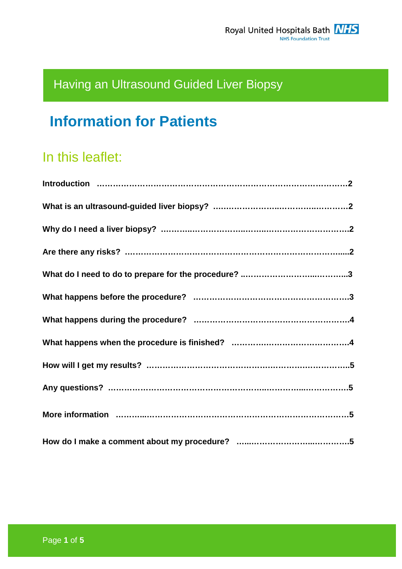# Having an Ultrasound Guided Liver Biopsy

# **Information for Patients**

# In this leaflet: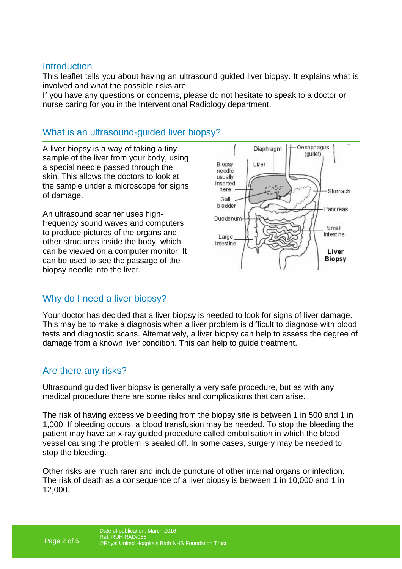#### **Introduction**

This leaflet tells you about having an ultrasound guided liver biopsy. It explains what is involved and what the possible risks are.

If you have any questions or concerns, please do not hesitate to speak to a doctor or nurse caring for you in the Interventional Radiology department.

# What is an ultrasound-quided liver biopsy?

A liver biopsy is a way of taking a tiny sample of the liver from your body, using a special needle passed through the skin. This allows the doctors to look at the sample under a microscope for signs of damage.

An ultrasound scanner uses highfrequency sound waves and computers to produce pictures of the organs and other structures inside the body, which can be viewed on a computer monitor. It can be used to see the passage of the biopsy needle into the liver.



# Why do I need a liver biopsy?

Your doctor has decided that a liver biopsy is needed to look for signs of liver damage. This may be to make a diagnosis when a liver problem is difficult to diagnose with blood tests and diagnostic scans. Alternatively, a liver biopsy can help to assess the degree of damage from a known liver condition. This can help to guide treatment.

# Are there any risks?

Ultrasound guided liver biopsy is generally a very safe procedure, but as with any medical procedure there are some risks and complications that can arise.

The risk of having excessive bleeding from the biopsy site is between 1 in 500 and 1 in 1,000. If bleeding occurs, a blood transfusion may be needed. To stop the bleeding the patient may have an x-ray guided procedure called embolisation in which the blood vessel causing the problem is sealed off. In some cases, surgery may be needed to stop the bleeding.

Other risks are much rarer and include puncture of other internal organs or infection. The risk of death as a consequence of a liver biopsy is between 1 in 10,000 and 1 in 12,000.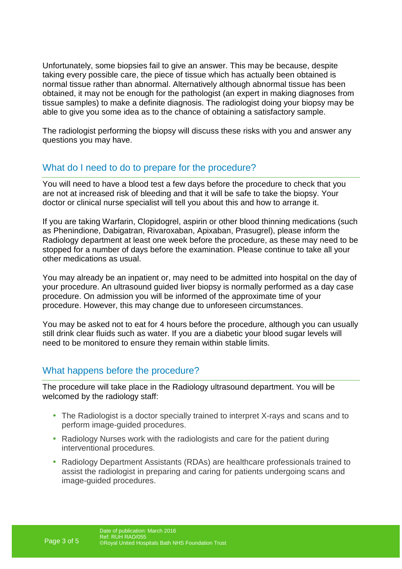Unfortunately, some biopsies fail to give an answer. This may be because, despite taking every possible care, the piece of tissue which has actually been obtained is normal tissue rather than abnormal. Alternatively although abnormal tissue has been obtained, it may not be enough for the pathologist (an expert in making diagnoses from tissue samples) to make a definite diagnosis. The radiologist doing your biopsy may be able to give you some idea as to the chance of obtaining a satisfactory sample.

The radiologist performing the biopsy will discuss these risks with you and answer any questions you may have.

# What do I need to do to prepare for the procedure?

You will need to have a blood test a few days before the procedure to check that you are not at increased risk of bleeding and that it will be safe to take the biopsy. Your doctor or clinical nurse specialist will tell you about this and how to arrange it.

If you are taking Warfarin, Clopidogrel, aspirin or other blood thinning medications (such as Phenindione, Dabigatran, Rivaroxaban, Apixaban, Prasugrel), please inform the Radiology department at least one week before the procedure, as these may need to be stopped for a number of days before the examination. Please continue to take all your other medications as usual.

You may already be an inpatient or, may need to be admitted into hospital on the day of your procedure. An ultrasound guided liver biopsy is normally performed as a day case procedure. On admission you will be informed of the approximate time of your procedure. However, this may change due to unforeseen circumstances.

You may be asked not to eat for 4 hours before the procedure, although you can usually still drink clear fluids such as water. If you are a diabetic your blood sugar levels will need to be monitored to ensure they remain within stable limits.

# What happens before the procedure?

The procedure will take place in the Radiology ultrasound department. You will be welcomed by the radiology staff:

- The Radiologist is a doctor specially trained to interpret X-rays and scans and to perform image-guided procedures.
- Radiology Nurses work with the radiologists and care for the patient during interventional procedures.
- Radiology Department Assistants (RDAs) are healthcare professionals trained to assist the radiologist in preparing and caring for patients undergoing scans and image-guided procedures.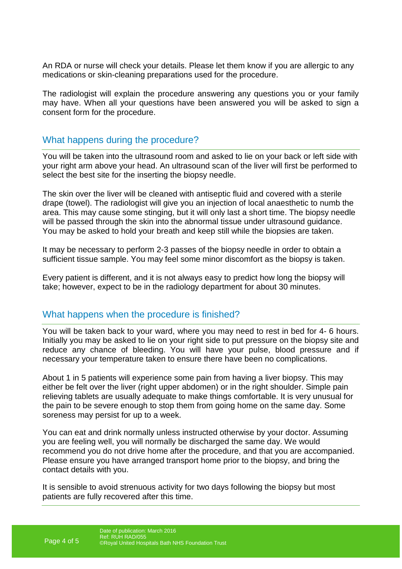An RDA or nurse will check your details. Please let them know if you are allergic to any medications or skin-cleaning preparations used for the procedure.

The radiologist will explain the procedure answering any questions you or your family may have. When all your questions have been answered you will be asked to sign a consent form for the procedure.

#### What happens during the procedure?

You will be taken into the ultrasound room and asked to lie on your back or left side with your right arm above your head. An ultrasound scan of the liver will first be performed to select the best site for the inserting the biopsy needle.

The skin over the liver will be cleaned with antiseptic fluid and covered with a sterile drape (towel). The radiologist will give you an injection of local anaesthetic to numb the area. This may cause some stinging, but it will only last a short time. The biopsy needle will be passed through the skin into the abnormal tissue under ultrasound guidance. You may be asked to hold your breath and keep still while the biopsies are taken.

It may be necessary to perform 2-3 passes of the biopsy needle in order to obtain a sufficient tissue sample. You may feel some minor discomfort as the biopsy is taken.

Every patient is different, and it is not always easy to predict how long the biopsy will take; however, expect to be in the radiology department for about 30 minutes.

#### What happens when the procedure is finished?

You will be taken back to your ward, where you may need to rest in bed for 4- 6 hours. Initially you may be asked to lie on your right side to put pressure on the biopsy site and reduce any chance of bleeding. You will have your pulse, blood pressure and if necessary your temperature taken to ensure there have been no complications.

About 1 in 5 patients will experience some pain from having a liver biopsy. This may either be felt over the liver (right upper abdomen) or in the right shoulder. Simple pain relieving tablets are usually adequate to make things comfortable. It is very unusual for the pain to be severe enough to stop them from going home on the same day. Some soreness may persist for up to a week.

You can eat and drink normally unless instructed otherwise by your doctor. Assuming you are feeling well, you will normally be discharged the same day. We would recommend you do not drive home after the procedure, and that you are accompanied. Please ensure you have arranged transport home prior to the biopsy, and bring the contact details with you.

It is sensible to avoid strenuous activity for two days following the biopsy but most patients are fully recovered after this time.